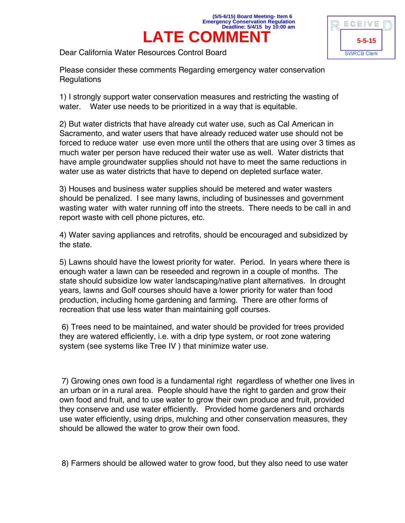



Dear California Water Resources Control Board

Please consider these comments Regarding emergency water conservation **Regulations** 

1) I strongly support water conservation measures and restricting the wasting of water. Water use needs to be prioritized in a way that is equitable.

2) But water districts that have already cut water use, such as Cal American in Sacramento, and water users that have already reduced water use should not be forced to reduce water use even more until the others that are using over 3 times as much water per person have reduced their water use as well. Water districts that have ample groundwater supplies should not have to meet the same reductions in water use as water districts that have to depend on depleted surface water.

3) Houses and business water supplies should be metered and water wasters should be penalized. I see many lawns, including of businesses and government wasting water with water running off into the streets. There needs to be call in and report waste with cell phone pictures, etc.

4) Water saving appliances and retrofits, should be encouraged and subsidized by the state.

5) Lawns should have the lowest priority for water. Period. In years where there is enough water a lawn can be reseeded and regrown in a couple of months. The state should subsidize low water landscaping/native plant alternatives. In drought years, lawns and Golf courses should have a lower priority for water than food production, including home gardening and farming. There are other forms of recreation that use less water than maintaining golf courses.

6) Trees need to be maintained, and water should be provided for trees provided they are watered efficiently, i.e. with a drip type system, or root zone watering system (see systems like Tree IV ) that minimize water use.

7) Growing ones own food is a fundamental right regardless of whether one lives in an urban or in a rural area. People should have the right to garden and grow their own food and fruit, and to use water to grow their own produce and fruit, provided they conserve and use water efficiently. Provided home gardeners and orchards use water efficiently, using drips, mulching and other conservation measures, they should be allowed the water to grow their own food.

8) Farmers should be allowed water to grow food, but they also need to use water